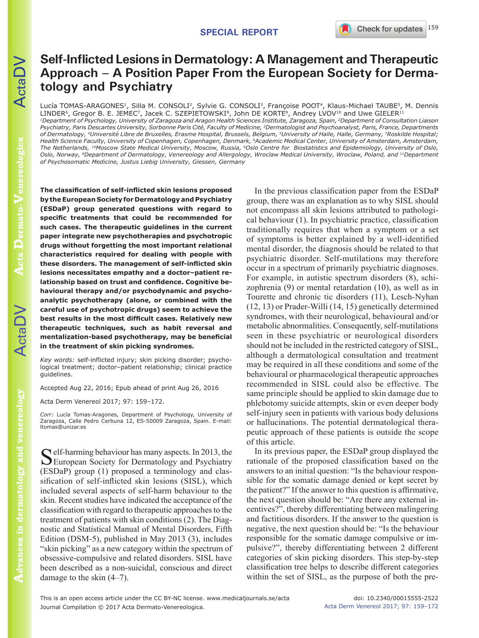# **Self-Inflicted Lesions in Dermatology: A Management and Therapeutic Approach – A Position Paper From the European Society for Dermatology and Psychiatry**

Lucía TOMAS-ARAGONES<sup>1</sup>, Silla M. CONSOLI<sup>2</sup>, Sylvie G. CONSOLI<sup>3</sup>, Françoise POOT<sup>4</sup>, Klaus-Michael TAUBE<sup>5</sup>, M. Dennis LINDER<sup>6</sup>, Gregor B. E. JEMEC<sup>7</sup>, Jacek C. SZEPIETOWSKI<sup>8</sup>, John DE KORTE<sup>9</sup>, Andrey LVOV<sup>10</sup> and Uwe GIELER<sup>11</sup>

*1Department of Psychology, University of Zaragoza and Aragon Health Sciences Institute, Zaragoza, Spain, 2Department of Consultation Liaison Psychiatry, Paris Descartes University, Sorbonne Paris Cité, Faculty of Medicine, 3Dermatologist and Psychoanalyst, Paris, France, Departments of Dermatology, 4Université Libre de Bruxelles, Erasme Hospital, Brussels, Belgium, 5University of Halle, Halle, Germany, 7Roskilde Hospital; Health Science Faculty, University of Copenhagen, Copenhagen, Denmark, 9Academic Medical Center, University of Amsterdam, Amsterdam, The Netherlands, 10Moscow State Medical University, Moscow, Russia, 6Oslo Centre for Biostatistics and Epidemiology, University of Oslo, Oslo, Norway, 8Department of Dermatology, Venereology and Allergology, Wroclaw Medical University, Wroclaw, Poland, and 11Department of Psychosomatic Medicine, Justus Liebig University, Giessen, Germany* 

**The classification of self-inflicted skin lesions proposed by the European Society for Dermatology and Psychiatry (ESDaP) group generated questions with regard to specific treatments that could be recommended for such cases. The therapeutic guidelines in the current paper integrate new psychotherapies and psychotropic drugs without forgetting the most important relational characteristics required for dealing with people with these disorders. The management of self-inflicted skin lesions necessitates empathy and a doctor–patient relationship based on trust and confidence. Cognitive behavioural therapy and/or psychodynamic and psychoanalytic psychotherapy (alone, or combined with the careful use of psychotropic drugs) seem to achieve the best results in the most difficult cases. Relatively new therapeutic techniques, such as habit reversal and mentalization-based psychotherapy, may be beneficial in the treatment of skin picking syndromes.**

*Key words:* self-inflicted injury; skin picking disorder; psychological treatment; doctor–patient relationship; clinical practice guidelines.

Accepted Aug 22, 2016; Epub ahead of print Aug 26, 2016

Acta Derm Venereol 2017; 97: 159–172.

*Corr:* Lucía Tomas-Aragones, Department of Psychology, University of Zaragoza, Calle Pedro Cerbuna 12, ES-50009 Zaragoza, Spain. E-mail: ltomas@unizar.es

 $\Gamma$  elf-harming behaviour has many aspects. In 2013, the European Society for Dermatology and Psychiatry (ESDaP) group (1) proposed a terminology and classification of self-inflicted skin lesions (SISL), which included several aspects of self-harm behaviour to the skin. Recent studies have indicated the acceptance of the classification with regard to therapeutic approaches to the treatment of patients with skin conditions (2). The Diagnostic and Statistical Manual of Mental Disorders, Fifth Edition (DSM-5), published in May 2013 (3), includes "skin picking" as a new category within the spectrum of obsessive-compulsive and related disorders. SISL have been described as a non-suicidal, conscious and direct

In the previous classification paper from the ESDaP group, there was an explanation as to why SISL should not encompass all skin lesions attributed to pathological behaviour (1). In psychiatric practice, classification traditionally requires that when a symptom or a set of symptoms is better explained by a well-identified mental disorder, the diagnosis should be related to that psychiatric disorder. Self-mutilations may therefore occur in a spectrum of primarily psychiatric diagnoses. For example, in autistic spectrum disorders (8), schizophrenia (9) or mental retardation (10), as well as in Tourette and chronic tic disorders (11), Lesch-Nyhan (12, 13) or Prader-Willi (14, 15) genetically determined syndromes, with their neurological, behavioural and/or metabolic abnormalities. Consequently, self-mutilations seen in these psychiatric or neurological disorders should not be included in the restricted category of SISL, although a dermatological consultation and treatment may be required in all these conditions and some of the behavioural or pharmacological therapeutic approaches recommended in SISL could also be effective. The same principle should be applied to skin damage due to phlebotomy suicide attempts, skin or even deeper body self-injury seen in patients with various body delusions or hallucinations. The potential dermatological therapeutic approach of these patients is outside the scope of this article.

In its previous paper, the ESDaP group displayed the rationale of the proposed classification based on the answers to an initial question: "Is the behaviour responsible for the somatic damage denied or kept secret by the patient?" If the answer to this question is affirmative, the next question should be: "Are there any external incentives?", thereby differentiating between malingering and factitious disorders. If the answer to the question is negative, the next question should be: "Is the behaviour responsible for the somatic damage compulsive or impulsive?", thereby differentiating between 2 different categories of skin picking disorders. This step-by-step classification tree helps to describe different categories within the set of SISL, as the purpose of both the pre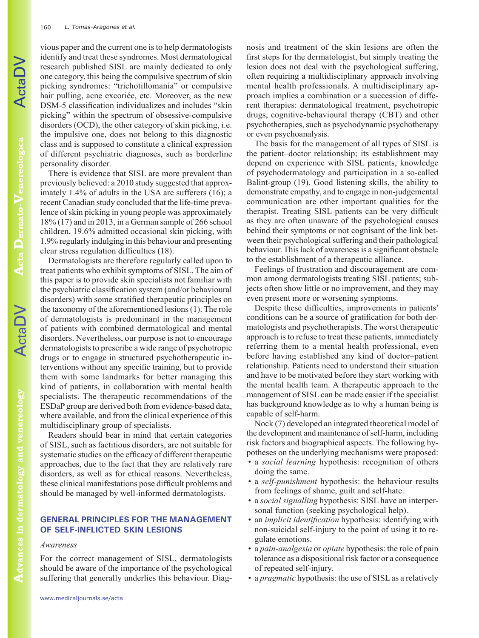vious paper and the current one is to help dermatologists identify and treat these syndromes. Most dermatological research published SISL are mainly dedicated to only one category, this being the compulsive spectrum of skin picking syndromes: "trichotillomania" or compulsive hair pulling, acne excoriée, etc. Moreover, as the new DSM-5 classification individualizes and includes "skin picking" within the spectrum of obsessive-compulsive disorders (OCD), the other category of skin picking, i.e. the impulsive one, does not belong to this diagnostic class and is supposed to constitute a clinical expression of different psychiatric diagnoses, such as borderline personality disorder.

There is evidence that SISL are more prevalent than previously believed: a 2010 study suggested that approximately 1.4% of adults in the USA are sufferers (16); a recent Canadian study concluded that the life-time prevalence of skin picking in young people was approximately 18% (17) and in 2013, in a German sample of 266 school children, 19.6% admitted occasional skin picking, with 1.9% regularly indulging in this behaviour and presenting clear stress regulation difficulties (18).

Dermatologists are therefore regularly called upon to treat patients who exhibit symptoms of SISL. The aim of this paper is to provide skin specialists not familiar with the psychiatric classification system (and/or behavioural disorders) with some stratified therapeutic principles on the taxonomy of the aforementioned lesions (1). The role of dermatologists is predominant in the management of patients with combined dermatological and mental disorders. Nevertheless, our purpose is not to encourage dermatologists to prescribe a wide range of psychotropic drugs or to engage in structured psychotherapeutic interventions without any specific training, but to provide them with some landmarks for better managing this kind of patients, in collaboration with mental health specialists. The therapeutic recommendations of the ESDaP group are derived both from evidence-based data, where available, and from the clinical experience of this multidisciplinary group of specialists.

Readers should bear in mind that certain categories of SISL, such as factitious disorders, are not suitable for systematic studies on the efficacy of different therapeutic approaches, due to the fact that they are relatively rare disorders, as well as for ethical reasons. Nevertheless, these clinical manifestations pose difficult problems and should be managed by well-informed dermatologists.

# **GENERAL PRINCIPLES FOR THE MANAGEMENT OF SELF-INFLICTED SKIN LESIONS**

#### *Awareness*

For the correct management of SISL, dermatologists should be aware of the importance of the psychological suffering that generally underlies this behaviour. Diagnosis and treatment of the skin lesions are often the first steps for the dermatologist, but simply treating the lesion does not deal with the psychological suffering, often requiring a multidisciplinary approach involving mental health professionals. A multidisciplinary approach implies a combination or a succession of different therapies: dermatological treatment, psychotropic drugs, cognitive-behavioural therapy (CBT) and other psychotherapies, such as psychodynamic psychotherapy or even psychoanalysis.

The basis for the management of all types of SISL is the patient–doctor relationship; its establishment may depend on experience with SISL patients, knowledge of psychodermatology and participation in a so-called Balint-group (19). Good listening skills, the ability to demonstrate empathy, and to engage in non-judgemental communication are other important qualities for the therapist. Treating SISL patients can be very difficult as they are often unaware of the psychological causes behind their symptoms or not cognisant of the link between their psychological suffering and their pathological behaviour. This lack of awareness is a significant obstacle to the establishment of a therapeutic alliance.

Feelings of frustration and discouragement are common among dermatologists treating SISL patients; subjects often show little or no improvement, and they may even present more or worsening symptoms.

Despite these difficulties, improvements in patients' conditions can be a source of gratification for both dermatologists and psychotherapists. The worst therapeutic approach is to refuse to treat these patients, immediately referring them to a mental health professional, even before having established any kind of doctor–patient relationship. Patients need to understand their situation and have to be motivated before they start working with the mental health team. A therapeutic approach to the management of SISL can be made easier if the specialist has background knowledge as to why a human being is capable of self-harm.

Nock (7) developed an integrated theoretical model of the development and maintenance of self-harm, including risk factors and biographical aspects. The following hypotheses on the underlying mechanisms were proposed:

- a *social learning* hypothesis: recognition of others doing the same.
- a *self-punishment* hypothesis: the behaviour results from feelings of shame, guilt and self-hate.
- a *social signalling* hypothesis: SISL have an interpersonal function (seeking psychological help).
- an *implicit identification* hypothesis: identifying with non-suicidal self-injury to the point of using it to regulate emotions.
- a *pain-analgesia* or *opiate* hypothesis: the role of pain tolerance as a dispositional risk factor or a consequence of repeated self-injury.
- a *pragmatic* hypothesis: the use of SISL as a relatively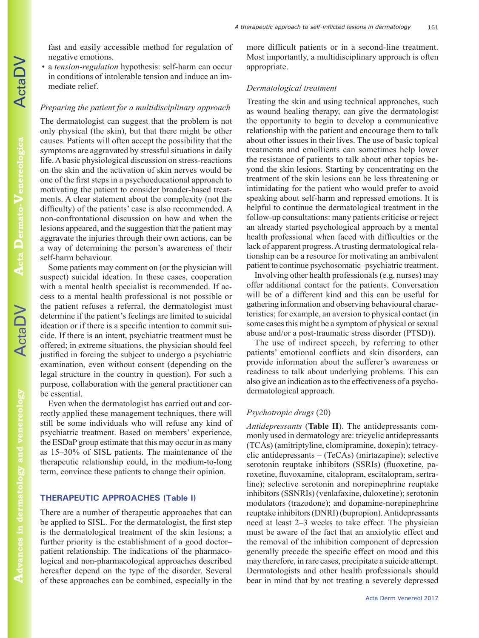fast and easily accessible method for regulation of negative emotions.

• a *tension-regulation* hypothesis: self-harm can occur in conditions of intolerable tension and induce an immediate relief.

## *Preparing the patient for a multidisciplinary approach*

The dermatologist can suggest that the problem is not only physical (the skin), but that there might be other causes. Patients will often accept the possibility that the symptoms are aggravated by stressful situations in daily life. A basic physiological discussion on stress-reactions on the skin and the activation of skin nerves would be one of the first steps in a psychoeducational approach to motivating the patient to consider broader-based treatments. A clear statement about the complexity (not the difficulty) of the patients' case is also recommended. A non-confrontational discussion on how and when the lesions appeared, and the suggestion that the patient may aggravate the injuries through their own actions, can be a way of determining the person's awareness of their self-harm behaviour.

Some patients may comment on (or the physician will suspect) suicidal ideation. In these cases, cooperation with a mental health specialist is recommended. If access to a mental health professional is not possible or the patient refuses a referral, the dermatologist must determine if the patient's feelings are limited to suicidal ideation or if there is a specific intention to commit suicide. If there is an intent, psychiatric treatment must be offered; in extreme situations, the physician should feel justified in forcing the subject to undergo a psychiatric examination, even without consent (depending on the legal structure in the country in question). For such a purpose, collaboration with the general practitioner can be essential.

Even when the dermatologist has carried out and correctly applied these management techniques, there will still be some individuals who will refuse any kind of psychiatric treatment. Based on members' experience, the ESDaP group estimate that this may occur in as many as 15–30% of SISL patients. The maintenance of the therapeutic relationship could, in the medium-to-long term, convince these patients to change their opinion.

## **THERAPEUTIC APPROACHES (Table I)**

There are a number of therapeutic approaches that can be applied to SISL. For the dermatologist, the first step is the dermatological treatment of the skin lesions; a further priority is the establishment of a good doctor– patient relationship. The indications of the pharmacological and non-pharmacological approaches described hereafter depend on the type of the disorder. Several of these approaches can be combined, especially in the more difficult patients or in a second-line treatment. Most importantly, a multidisciplinary approach is often appropriate.

#### *Dermatological treatment*

Treating the skin and using technical approaches, such as wound healing therapy, can give the dermatologist the opportunity to begin to develop a communicative relationship with the patient and encourage them to talk about other issues in their lives. The use of basic topical treatments and emollients can sometimes help lower the resistance of patients to talk about other topics beyond the skin lesions. Starting by concentrating on the treatment of the skin lesions can be less threatening or intimidating for the patient who would prefer to avoid speaking about self-harm and repressed emotions. It is helpful to continue the dermatological treatment in the follow-up consultations: many patients criticise or reject an already started psychological approach by a mental health professional when faced with difficulties or the lack of apparent progress. A trusting dermatological relationship can be a resource for motivating an ambivalent patient to continue psychosomatic–psychiatric treatment.

Involving other health professionals (e.g. nurses) may offer additional contact for the patients. Conversation will be of a different kind and this can be useful for gathering information and observing behavioural characteristics; for example, an aversion to physical contact (in some cases this might be a symptom of physical or sexual abuse and/or a post-traumatic stress disorder (PTSD)).

The use of indirect speech, by referring to other patients' emotional conflicts and skin disorders, can provide information about the sufferer's awareness or readiness to talk about underlying problems. This can also give an indication as to the effectiveness of a psychodermatological approach.

### *Psychotropic drugs* (20)

*Antidepressants* (**Table II**). The antidepressants commonly used in dermatology are: tricyclic antidepressants (TCAs) (amitriptyline, clomipramine, doxepin); tetracyclic antidepressants – (TeCAs) (mirtazapine); selective serotonin reuptake inhibitors (SSRIs) (fluoxetine, paroxetine, fluvoxamine, citalopram, escitalopram, sertraline); selective serotonin and norepinephrine reuptake inhibitors (SSNRIs) (venlafaxine, duloxetine); serotonin modulators (trazodone); and dopamine-norepinephrine reuptake inhibitors (DNRI) (bupropion). Antidepressants need at least 2–3 weeks to take effect. The physician must be aware of the fact that an anxiolytic effect and the removal of the inhibition component of depression generally precede the specific effect on mood and this may therefore, in rare cases, precipitate a suicide attempt. Dermatologists and other health professionals should bear in mind that by not treating a severely depressed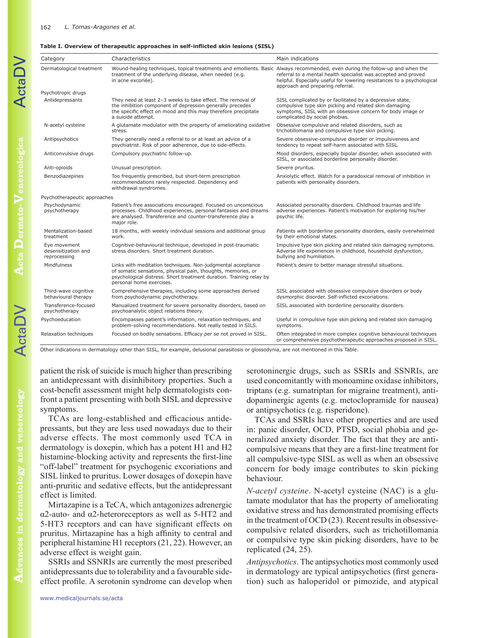#### **Table I. Overview of therapeutic approaches in self-inflicted skin lesions (SISL)**

| Category                                            | Characteristics                                                                                                                                                                                                                | Main indications                                                                                                                                                                                                    |
|-----------------------------------------------------|--------------------------------------------------------------------------------------------------------------------------------------------------------------------------------------------------------------------------------|---------------------------------------------------------------------------------------------------------------------------------------------------------------------------------------------------------------------|
| Dermatological treatment                            | Wound-healing techniques, topical treatments and emollients. Basic Always recommended, even during the follow-up and when the<br>treatment of the underlying disease, when needed (e.g.<br>in acne excoriée).                  | referral to a mental health specialist was accepted and proved<br>helpful. Especially useful for lowering resistances to a psychological<br>approach and preparing referral.                                        |
| Psychotropic drugs                                  |                                                                                                                                                                                                                                |                                                                                                                                                                                                                     |
| Antidepressants                                     | They need at least 2-3 weeks to take effect. The removal of<br>the inhibition component of depression generally precedes<br>the specific effect on mood and this may therefore precipitate<br>a suicide attempt.               | SISL complicated by or facilitated by a depressive state,<br>compulsive type skin picking and related skin damaging<br>symptoms, SISL with an obsessive concern for body image or<br>complicated by social phobias. |
| N-acetyl cysteine                                   | A glutamate modulator with the property of ameliorating oxidative<br>stress.                                                                                                                                                   | Obsessive compulsive and related disorders, such as<br>trichotillomania and compulsive type skin picking.                                                                                                           |
| Antipsychotics                                      | They generally need a referral to or at least an advice of a<br>psychiatrist. Risk of poor adherence, due to side-effects.                                                                                                     | Severe obsessive-compulsive disorder or impulsiveness and<br>tendency to repeat self-harm associated with SISL.                                                                                                     |
| Anticonvulsive drugs                                | Compulsory psychiatric follow-up.                                                                                                                                                                                              | Mood disorders, especially bipolar disorder, when associated with<br>SISL, or associated borderline personality disorder.                                                                                           |
| Anti-opioids                                        | Unusual prescription.                                                                                                                                                                                                          | Severe pruritus.                                                                                                                                                                                                    |
| Benzodiazepines                                     | Too frequently prescribed, but short-term prescription<br>recommendations rarely respected. Dependency and<br>withdrawal syndromes.                                                                                            | Anxiolytic effect. Watch for a paradoxical removal of inhibition in<br>patients with personality disorders.                                                                                                         |
| Psychotherapeutic approaches                        |                                                                                                                                                                                                                                |                                                                                                                                                                                                                     |
| Psychodynamic<br>psychotherapy                      | Patient's free associations encouraged. Focused on unconscious<br>processes. Childhood experiences, personal fantasies and dreams<br>are analysed. Transference and counter-transference play a<br>major role.                 | Associated personality disorders. Childhood traumas and life<br>adverse experiences. Patient's motivation for exploring his/her<br>psychic life.                                                                    |
| Mentalization-based<br>treatment                    | 18 months, with weekly individual sessions and additional group<br>work.                                                                                                                                                       | Patients with borderline personality disorders, easily overwhelmed<br>by their emotional states.                                                                                                                    |
| Eye movement<br>desensitization and<br>reprocessing | Cognitive-behavioural technique, developed in post-traumatic<br>stress disorders. Short treatment duration.                                                                                                                    | Impulsive type skin picking and related skin damaging symptoms.<br>Adverse life experiences in childhood, household dysfunction,<br>bullying and humiliation.                                                       |
| Mindfulness                                         | Links with meditation techniques. Non-judgmental acceptance<br>of somatic sensations, physical pain, thoughts, memories, or<br>psychological distress. Short treatment duration. Training relay by<br>personal home exercises. | Patient's desire to better manage stressful situations.                                                                                                                                                             |
| Third-wave cognitive<br>behavioural therapy         | Comprehensive therapies, including some approaches derived<br>from psychodynamic psychotherapy.                                                                                                                                | SISL associated with obsessive compulsive disorders or body<br>dysmorphic disorder. Self-inflicted excoriations.                                                                                                    |
| Transference-focused<br>psychotherapy               | Manualized treatment for severe personality disorders, based on<br>psychoanalytic object relations theory.                                                                                                                     | SISL associated with borderline personality disorders.                                                                                                                                                              |
| Psychoeducation                                     | Encompasses patient's information, relaxation techniques, and<br>problem-solving recommendations. Not really tested in SILS.                                                                                                   | Useful in compulsive type skin picking and related skin damaging<br>symptoms.                                                                                                                                       |
| Relaxation techniques                               | Focused on bodily sensations. Efficacy per se not proved in SISL.                                                                                                                                                              | Often integrated in more complex cognitive behavioural techniques<br>or comprehensive psychotherapeutic approaches proposed in SISL.                                                                                |

Other indications in dermatology other than SISL, for example, delusional parasitosis or glossodynia, are not mentioned in this Table.

patient the risk of suicide is much higher than prescribing an antidepressant with disinhibitory properties. Such a cost-benefit assessment might help dermatologists confront a patient presenting with both SISL and depressive symptoms.

TCAs are long-established and efficacious antidepressants, but they are less used nowadays due to their adverse effects. The most commonly used TCA in dermatology is doxepin, which has a potent H1 and H2 histamine-blocking activity and represents the first-line "off-label" treatment for psychogenic excoriations and SISL linked to pruritus. Lower dosages of doxepin have anti-pruritic and sedative effects, but the antidepressant effect is limited.

Mirtazapine is a TeCA, which antagonizes adrenergic α2-auto- and α2-heteroreceptors as well as 5-HT2 and 5-HT3 receptors and can have significant effects on pruritus. Mirtazapine has a high affinity to central and peripheral histamine H1 receptors (21, 22). However, an adverse effect is weight gain.

SSRIs and SSNRIs are currently the most prescribed antidepressants due to tolerability and a favourable sideeffect profile. A serotonin syndrome can develop when

www.medicaljournals.se/acta

serotoninergic drugs, such as SSRIs and SSNRIs, are used concomitantly with monoamine oxidase inhibitors, triptans (e.g. sumatriptan for migraine treatment), antidopaminergic agents (e.g. metoclopramide for nausea) or antipsychotics (e.g. risperidone).

TCAs and SSRIs have other properties and are used in: panic disorder, OCD, PTSD, social phobia and generalized anxiety disorder. The fact that they are anticompulsive means that they are a first-line treatment for all compulsive-type SISL as well as when an obsessive concern for body image contributes to skin picking behaviour.

*N-acetyl cysteine*. N-acetyl cysteine (NAC) is a glutamate modulator that has the property of ameliorating oxidative stress and has demonstrated promising effects in the treatment of OCD (23). Recent results in obsessivecompulsive related disorders, such as trichotillomania or compulsive type skin picking disorders, have to be replicated (24, 25).

*Antipsychotics*. The antipsychotics most commonly used in dermatology are typical antipsychotics (first generation) such as haloperidol or pimozide, and atypical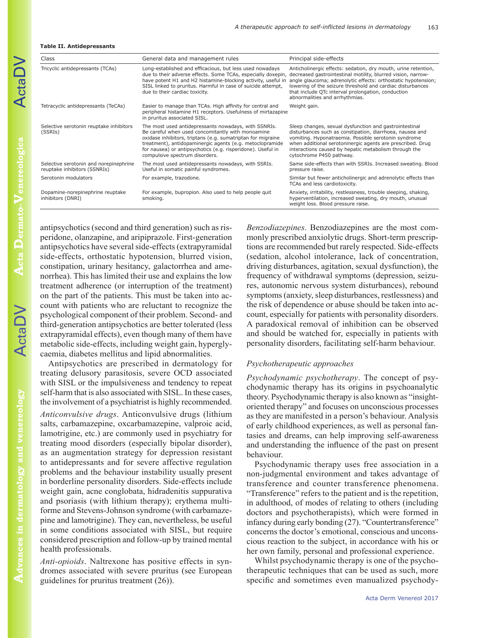#### **Table II. Antidepressants**

| Class                                                                  | General data and management rules                                                                                                                                                                                                                                                                                                     | Principal side-effects                                                                                                                                                                                                                                                                                                                                |
|------------------------------------------------------------------------|---------------------------------------------------------------------------------------------------------------------------------------------------------------------------------------------------------------------------------------------------------------------------------------------------------------------------------------|-------------------------------------------------------------------------------------------------------------------------------------------------------------------------------------------------------------------------------------------------------------------------------------------------------------------------------------------------------|
| Tricyclic antidepressants (TCAs)                                       | Long-established and efficacious, but less used nowadays<br>due to their adverse effects. Some TCAs, especially doxepin,<br>have potent H1 and H2 histamine-blocking activity, useful in<br>SISL linked to pruritus. Harmful in case of suicide attempt,<br>due to their cardiac toxicity.                                            | Anticholinergic effects: sedation, dry mouth, urine retention,<br>decreased gastrointestinal motility, blurred vision, narrow-<br>angle glaucoma; adrenolytic effects: orthostatic hypotension;<br>lowering of the seizure threshold and cardiac disturbances<br>that include QTc interval prolongation, conduction<br>abnormalities and arrhythmias. |
| Tetracyclic antidepressants (TeCAs)                                    | Easier to manage than TCAs. High affinity for central and<br>peripheral histamine H1 receptors. Usefulness of mirtazapine<br>in pruritus associated SISL.                                                                                                                                                                             | Weight gain.                                                                                                                                                                                                                                                                                                                                          |
| Selective serotonin reuptake inhibitors<br>(SSRIs)                     | The most used antidepressants nowadays, with SSNRIs.<br>Be careful when used concomitantly with monoamine<br>oxidase inhibitors, triptans (e.g. sumatriptan for migraine<br>treatment), antidopaminergic agents (e.g. metoclopramide<br>for nausea) or antipsychotics (e.g. risperidone). Useful in<br>compulsive spectrum disorders. | Sleep changes, sexual dysfunction and gastrointestinal<br>disturbances such as constipation, diarrhoea, nausea and<br>vomiting. Hyponatraemia. Possible serotonin syndrome<br>when additional serotoninergic agents are prescribed. Drug<br>interactions caused by hepatic metabolism through the<br>cytochrome P450 pathway.                         |
| Selective serotonin and norepinephrine<br>reuptake inhibitors (SSNRIs) | The most used antidepressants nowadays, with SSRIs.<br>Useful in somatic painful syndromes.                                                                                                                                                                                                                                           | Same side-effects than with SSRIs. Increased sweating. Blood<br>pressure raise.                                                                                                                                                                                                                                                                       |
| Serotonin modulators                                                   | For example, trazodone.                                                                                                                                                                                                                                                                                                               | Similar but fewer anticholinergic and adrenolytic effects than<br>TCAs and less cardiotoxicity.                                                                                                                                                                                                                                                       |
| Dopamine-norepinephrine reuptake<br>inhibitors (DNRI)                  | For example, bupropion. Also used to help people quit<br>smoking.                                                                                                                                                                                                                                                                     | Anxiety, irritability, restlessness, trouble sleeping, shaking,<br>hyperventilation, increased sweating, dry mouth, unusual<br>weight loss. Blood pressure raise.                                                                                                                                                                                     |

**Acta Dermato-Venereologica**

ActaDV

antipsychotics (second and third generation) such as risperidone, olanzapine, and aripiprazole. First-generation antipsychotics have several side-effects (extrapyramidal side-effects, orthostatic hypotension, blurred vision, constipation, urinary hesitancy, galactorrhea and amenorrhea). This has limited their use and explains the low treatment adherence (or interruption of the treatment) on the part of the patients. This must be taken into account with patients who are reluctant to recognize the psychological component of their problem. Second- and third-generation antipsychotics are better tolerated (less extrapyramidal effects), even though many of them have metabolic side-effects, including weight gain, hyperglycaemia, diabetes mellitus and lipid abnormalities.

Antipsychotics are prescribed in dermatology for treating delusory parasitosis, severe OCD associated with SISL or the impulsiveness and tendency to repeat self-harm that is also associated with SISL. In these cases, the involvement of a psychiatrist is highly recommended.

*Anticonvulsive drugs*. Anticonvulsive drugs (lithium salts, carbamazepine, oxcarbamazepine, valproic acid, lamotrigine, etc.) are commonly used in psychiatry for treating mood disorders (especially bipolar disorder), as an augmentation strategy for depression resistant to antidepressants and for severe affective regulation problems and the behaviour instability usually present in borderline personality disorders. Side-effects include weight gain, acne conglobata, hidradenitis suppurativa and psoriasis (with lithium therapy); erythema multiforme and Stevens-Johnson syndrome (with carbamazepine and lamotrigine). They can, nevertheless, be useful in some conditions associated with SISL, but require considered prescription and follow-up by trained mental health professionals.

*Anti-opioids*. Naltrexone has positive effects in syndromes associated with severe pruritus (see European guidelines for pruritus treatment (26)).

*Benzodiazepines*. Benzodiazepines are the most commonly prescribed anxiolytic drugs. Short-term prescriptions are recommended but rarely respected. Side-effects (sedation, alcohol intolerance, lack of concentration, driving disturbances, agitation, sexual dysfunction), the frequency of withdrawal symptoms (depression, seizures, autonomic nervous system disturbances), rebound symptoms (anxiety, sleep disturbances, restlessness) and the risk of dependence or abuse should be taken into account, especially for patients with personality disorders. A paradoxical removal of inhibition can be observed and should be watched for, especially in patients with personality disorders, facilitating self-harm behaviour.

#### *Psychotherapeutic approaches*

*Psychodynamic psychotherapy*. The concept of psychodynamic therapy has its origins in psychoanalytic theory. Psychodynamic therapy is also known as "insightoriented therapy" and focuses on unconscious processes as they are manifested in a person's behaviour. Analysis of early childhood experiences, as well as personal fantasies and dreams, can help improving self-awareness and understanding the influence of the past on present behaviour.

Psychodynamic therapy uses free association in a non-judgmental environment and takes advantage of transference and counter transference phenomena. "Transference" refers to the patient and is the repetition, in adulthood, of modes of relating to others (including doctors and psychotherapists), which were formed in infancy during early bonding (27). "Countertransference" concerns the doctor's emotional, conscious and unconscious reaction to the subject, in accordance with his or her own family, personal and professional experience.

Whilst psychodynamic therapy is one of the psychotherapeutic techniques that can be used as such, more specific and sometimes even manualized psychody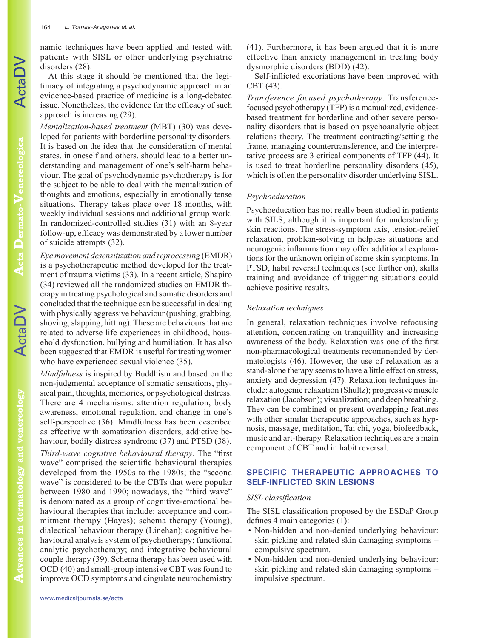namic techniques have been applied and tested with patients with SISL or other underlying psychiatric disorders (28).

At this stage it should be mentioned that the legitimacy of integrating a psychodynamic approach in an evidence-based practice of medicine is a long-debated issue. Nonetheless, the evidence for the efficacy of such approach is increasing (29).

*Mentalization-based treatment* (MBT) (30) was developed for patients with borderline personality disorders. It is based on the idea that the consideration of mental states, in oneself and others, should lead to a better understanding and management of one's self-harm behaviour. The goal of psychodynamic psychotherapy is for the subject to be able to deal with the mentalization of thoughts and emotions, especially in emotionally tense situations. Therapy takes place over 18 months, with weekly individual sessions and additional group work. In randomized-controlled studies (31) with an 8-year follow-up, efficacy was demonstrated by a lower number of suicide attempts (32).

*Eye movement desensitization and reprocessing* (EMDR) is a psychotherapeutic method developed for the treatment of trauma victims (33). In a recent article, Shapiro (34) reviewed all the randomized studies on EMDR therapy in treating psychological and somatic disorders and concluded that the technique can be successful in dealing with physically aggressive behaviour (pushing, grabbing, shoving, slapping, hitting). These are behaviours that are related to adverse life experiences in childhood, household dysfunction, bullying and humiliation. It has also been suggested that EMDR is useful for treating women who have experienced sexual violence (35).

*Mindfulness* is inspired by Buddhism and based on the non-judgmental acceptance of somatic sensations, physical pain, thoughts, memories, or psychological distress. There are 4 mechanisms: attention regulation, body awareness, emotional regulation, and change in one's self-perspective (36). Mindfulness has been described as effective with somatization disorders, addictive behaviour, bodily distress syndrome (37) and PTSD (38).

*Third-wave cognitive behavioural therapy*. The "first wave" comprised the scientific behavioural therapies developed from the 1950s to the 1980s; the "second wave" is considered to be the CBTs that were popular between 1980 and 1990; nowadays, the "third wave" is denominated as a group of cognitive-emotional behavioural therapies that include: acceptance and commitment therapy (Hayes); schema therapy (Young), dialectical behaviour therapy (Linehan); cognitive behavioural analysis system of psychotherapy; functional analytic psychotherapy; and integrative behavioural couple therapy (39). Schema therapy has been used with OCD (40) and small-group intensive CBT was found to improve OCD symptoms and cingulate neurochemistry

(41). Furthermore, it has been argued that it is more effective than anxiety management in treating body dysmorphic disorders (BDD) (42).

Self-inflicted excoriations have been improved with CBT (43).

*Transference focused psychotherapy*. Transferencefocused psychotherapy (TFP) is a manualized, evidencebased treatment for borderline and other severe personality disorders that is based on psychoanalytic object relations theory. The treatment contracting/setting the frame, managing countertransference, and the interpretative process are 3 critical components of TFP (44). It is used to treat borderline personality disorders (45), which is often the personality disorder underlying SISL.

### *Psychoeducation*

Psychoeducation has not really been studied in patients with SILS, although it is important for understanding skin reactions. The stress-symptom axis, tension-relief relaxation, problem-solving in helpless situations and neurogenic inflammation may offer additional explanations for the unknown origin of some skin symptoms. In PTSD, habit reversal techniques (see further on), skills training and avoidance of triggering situations could achieve positive results.

## *Relaxation techniques*

In general, relaxation techniques involve refocusing attention, concentrating on tranquillity and increasing awareness of the body. Relaxation was one of the first non-pharmacological treatments recommended by dermatologists (46). However, the use of relaxation as a stand-alone therapy seems to have a little effect on stress, anxiety and depression (47). Relaxation techniques include: autogenic relaxation (Shultz); progressive muscle relaxation (Jacobson); visualization; and deep breathing. They can be combined or present overlapping features with other similar therapeutic approaches, such as hypnosis, massage, meditation, Tai chi, yoga, biofeedback, music and art-therapy. Relaxation techniques are a main component of CBT and in habit reversal.

# **SPECIFIC THERAPEUTIC APPROACHES TO SELF-INFLICTED SKIN LESIONS**

### *SISL classification*

The SISL classification proposed by the ESDaP Group defines 4 main categories (1):

- Non-hidden and non-denied underlying behaviour: skin picking and related skin damaging symptoms – compulsive spectrum.
- Non-hidden and non-denied underlying behaviour: skin picking and related skin damaging symptoms – impulsive spectrum.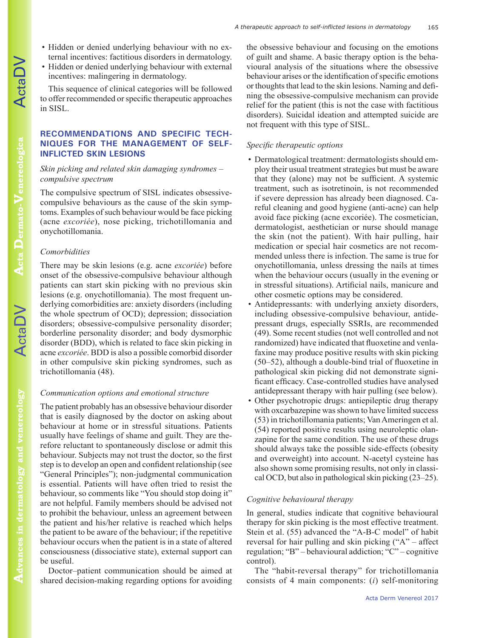- Hidden or denied underlying behaviour with no external incentives: factitious disorders in dermatology.
- Hidden or denied underlying behaviour with external incentives: malingering in dermatology.

This sequence of clinical categories will be followed to offer recommended or specific therapeutic approaches in SISL.

# **RECOMMENDATIONS AND SPECIFIC TECH-NIQUES FOR THE MANAGEMENT OF SELF-INFLICTED SKIN LESIONS**

# *Skin picking and related skin damaging syndromes – compulsive spectrum*

The compulsive spectrum of SISL indicates obsessivecompulsive behaviours as the cause of the skin symptoms. Examples of such behaviour would be face picking (acne *excoriée*), nose picking, trichotillomania and onychotillomania.

# *Comorbidities*

There may be skin lesions (e.g. acne *excoriée*) before onset of the obsessive-compulsive behaviour although patients can start skin picking with no previous skin lesions (e.g. onychotillomania). The most frequent underlying comorbidities are: anxiety disorders (including the whole spectrum of OCD); depression; dissociation disorders; obsessive-compulsive personality disorder; borderline personality disorder; and body dysmorphic disorder (BDD), which is related to face skin picking in acne *excoriée*. BDD is also a possible comorbid disorder in other compulsive skin picking syndromes, such as trichotillomania (48).

# *Communication options and emotional structure*

The patient probably has an obsessive behaviour disorder that is easily diagnosed by the doctor on asking about behaviour at home or in stressful situations. Patients usually have feelings of shame and guilt. They are therefore reluctant to spontaneously disclose or admit this behaviour. Subjects may not trust the doctor, so the first step is to develop an open and confident relationship (see "General Principles"); non-judgmental communication is essential. Patients will have often tried to resist the behaviour, so comments like "You should stop doing it" are not helpful. Family members should be advised not to prohibit the behaviour, unless an agreement between the patient and his/her relative is reached which helps the patient to be aware of the behaviour; if the repetitive behaviour occurs when the patient is in a state of altered consciousness (dissociative state), external support can be useful.

Doctor–patient communication should be aimed at shared decision-making regarding options for avoiding

the obsessive behaviour and focusing on the emotions of guilt and shame. A basic therapy option is the behavioural analysis of the situations where the obsessive behaviour arises or the identification of specific emotions or thoughts that lead to the skin lesions. Naming and defining the obsessive-compulsive mechanism can provide relief for the patient (this is not the case with factitious disorders). Suicidal ideation and attempted suicide are not frequent with this type of SISL.

165

# *Specific therapeutic options*

- Dermatological treatment: dermatologists should employ their usual treatment strategies but must be aware that they (alone) may not be sufficient. A systemic treatment, such as isotretinoin, is not recommended if severe depression has already been diagnosed. Careful cleaning and good hygiene (anti-acne) can help avoid face picking (acne excoriée). The cosmetician, dermatologist, aesthetician or nurse should manage the skin (not the patient). With hair pulling, hair medication or special hair cosmetics are not recommended unless there is infection. The same is true for onychotillomania, unless dressing the nails at times when the behaviour occurs (usually in the evening or in stressful situations). Artificial nails, manicure and other cosmetic options may be considered.
- Antidepressants: with underlying anxiety disorders, including obsessive-compulsive behaviour, antidepressant drugs, especially SSRIs, are recommended (49). Some recent studies (not well controlled and not randomized) have indicated that fluoxetine and venlafaxine may produce positive results with skin picking (50–52), although a double-bind trial of fluoxetine in pathological skin picking did not demonstrate significant efficacy. Case-controlled studies have analysed antidepressant therapy with hair pulling (see below).
- Other psychotropic drugs: antiepileptic drug therapy with oxcarbazepine was shown to have limited success (53) in trichotillomania patients; Van Ameringen et al. (54) reported positive results using neuroleptic olanzapine for the same condition. The use of these drugs should always take the possible side-effects (obesity and overweight) into account. N-acetyl cysteine has also shown some promising results, not only in classical OCD, but also in pathological skin picking (23–25).

# *Cognitive behavioural therapy*

In general, studies indicate that cognitive behavioural therapy for skin picking is the most effective treatment. Stein et al. (55) advanced the "A-B-C model" of habit reversal for hair pulling and skin picking ("A" – affect regulation; "B" – behavioural addiction; "C" – cognitive control).

The "habit-reversal therapy" for trichotillomania consists of 4 main components: (*i*) self-monitoring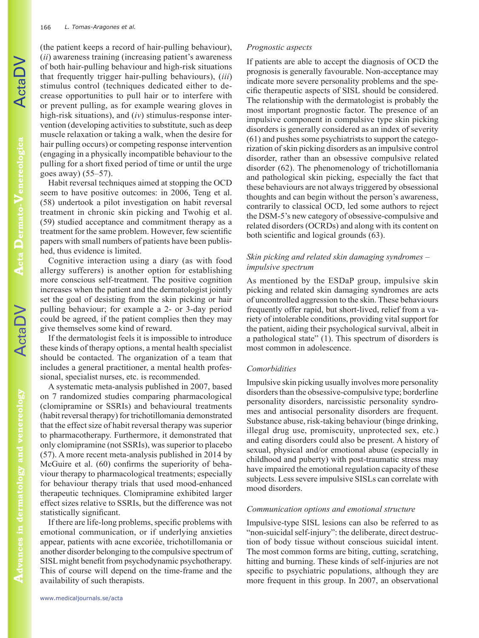(the patient keeps a record of hair-pulling behaviour), (*ii*) awareness training (increasing patient's awareness of both hair-pulling behaviour and high-risk situations that frequently trigger hair-pulling behaviours), (*iii*) stimulus control (techniques dedicated either to decrease opportunities to pull hair or to interfere with or prevent pulling, as for example wearing gloves in high-risk situations), and (*iv*) stimulus-response intervention (developing activities to substitute, such as deep muscle relaxation or taking a walk, when the desire for hair pulling occurs) or competing response intervention (engaging in a physically incompatible behaviour to the pulling for a short fixed period of time or until the urge goes away) (55–57).

Habit reversal techniques aimed at stopping the OCD seem to have positive outcomes: in 2006, Teng et al. (58) undertook a pilot investigation on habit reversal treatment in chronic skin picking and Twohig et al. (59) studied acceptance and commitment therapy as a treatment for the same problem. However, few scientific papers with small numbers of patients have been published, thus evidence is limited.

Cognitive interaction using a diary (as with food allergy sufferers) is another option for establishing more conscious self-treatment. The positive cognition increases when the patient and the dermatologist jointly set the goal of desisting from the skin picking or hair pulling behaviour; for example a 2- or 3-day period could be agreed, if the patient complies then they may give themselves some kind of reward.

If the dermatologist feels it is impossible to introduce these kinds of therapy options, a mental health specialist should be contacted. The organization of a team that includes a general practitioner, a mental health professional, specialist nurses, etc. is recommended.

A systematic meta-analysis published in 2007, based on 7 randomized studies comparing pharmacological (clomipramine or SSRIs) and behavioural treatments (habit reversal therapy) for trichotillomania demonstrated that the effect size of habit reversal therapy was superior to pharmacotherapy. Furthermore, it demonstrated that only clomipramine (not SSRIs), was superior to placebo (57). A more recent meta-analysis published in 2014 by McGuire et al. (60) confirms the superiority of behaviour therapy to pharmacological treatments; especially for behaviour therapy trials that used mood-enhanced therapeutic techniques. Clomipramine exhibited larger effect sizes relative to SSRIs, but the difference was not statistically significant.

If there are life-long problems, specific problems with emotional communication, or if underlying anxieties appear, patients with acne excoriée, trichotillomania or another disorder belonging to the compulsive spectrum of SISL might benefit from psychodynamic psychotherapy. This of course will depend on the time-frame and the availability of such therapists.

#### *Prognostic aspects*

If patients are able to accept the diagnosis of OCD the prognosis is generally favourable. Non-acceptance may indicate more severe personality problems and the specific therapeutic aspects of SISL should be considered. The relationship with the dermatologist is probably the most important prognostic factor. The presence of an impulsive component in compulsive type skin picking disorders is generally considered as an index of severity (61) and pushes some psychiatrists to support the categorization of skin picking disorders as an impulsive control disorder, rather than an obsessive compulsive related disorder (62). The phenomenology of trichotillomania and pathological skin picking, especially the fact that these behaviours are not always triggered by obsessional thoughts and can begin without the person's awareness, contrarily to classical OCD, led some authors to reject the DSM-5's new category of obsessive-compulsive and related disorders (OCRDs) and along with its content on both scientific and logical grounds (63).

# *Skin picking and related skin damaging syndromes – impulsive spectrum*

As mentioned by the ESDaP group, impulsive skin picking and related skin damaging syndromes are acts of uncontrolled aggression to the skin. These behaviours frequently offer rapid, but short-lived, relief from a variety of intolerable conditions, providing vital support for the patient, aiding their psychological survival, albeit in a pathological state" (1). This spectrum of disorders is most common in adolescence.

#### *Comorbidities*

Impulsive skin picking usually involves more personality disorders than the obsessive-compulsive type; borderline personality disorders, narcissistic personality syndromes and antisocial personality disorders are frequent. Substance abuse, risk-taking behaviour (binge drinking, illegal drug use, promiscuity, unprotected sex, etc.) and eating disorders could also be present. A history of sexual, physical and/or emotional abuse (especially in childhood and puberty) with post-traumatic stress may have impaired the emotional regulation capacity of these subjects. Less severe impulsive SISLs can correlate with mood disorders.

#### *Communication options and emotional structure*

Impulsive-type SISL lesions can also be referred to as "non-suicidal self-injury": the deliberate, direct destruction of body tissue without conscious suicidal intent. The most common forms are biting, cutting, scratching, hitting and burning. These kinds of self-injuries are not specific to psychiatric populations, although they are more frequent in this group. In 2007, an observational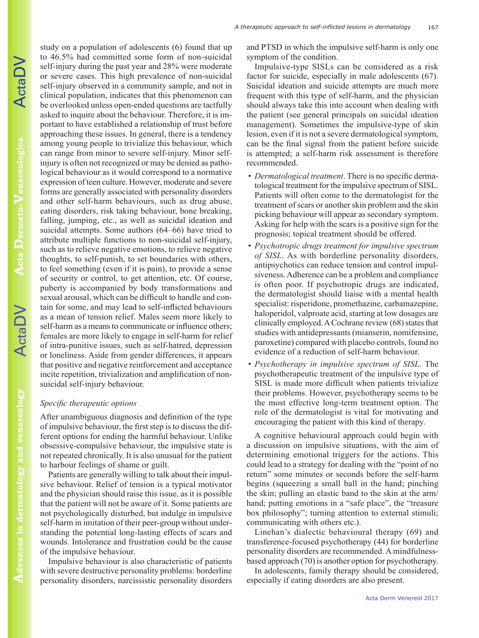study on a population of adolescents (6) found that up to 46.5% had committed some form of non-suicidal self-injury during the past year and 28% were moderate or severe cases. This high prevalence of non-suicidal self-injury observed in a community sample, and not in clinical population, indicates that this phenomenon can be overlooked unless open-ended questions are tactfully asked to inquire about the behaviour. Therefore, it is important to have established a relationship of trust before approaching these issues. In general, there is a tendency among young people to trivialize this behaviour, which can range from minor to severe self-injury. Minor selfinjury is often not recognized or may be denied as pathological behaviour as it would correspond to a normative expression of teen culture. However, moderate and severe forms are generally associated with personality disorders and other self-harm behaviours, such as drug abuse, eating disorders, risk taking behaviour, bone breaking, falling, jumping, etc., as well as suicidal ideation and suicidal attempts. Some authors (64–66) have tried to attribute multiple functions to non-suicidal self-injury, such as to relieve negative emotions, to relieve negative thoughts, to self-punish, to set boundaries with others, to feel something (even if it is pain), to provide a sense of security or control, to get attention, etc. Of course, puberty is accompanied by body transformations and sexual arousal, which can be difficult to handle and contain for some, and may lead to self-inflicted behaviours as a mean of tension relief. Males seem more likely to self-harm as a means to communicate or influence others; females are more likely to engage in self-harm for relief of intra-punitive issues, such as self-hatred, depression or loneliness. Aside from gender differences, it appears that positive and negative reinforcement and acceptance incite repetition, trivialization and amplification of nonsuicidal self-injury behaviour.

### *Specific therapeutic options*

After unambiguous diagnosis and definition of the type of impulsive behaviour, the first step is to discuss the different options for ending the harmful behaviour. Unlike obsessive-compulsive behaviour, the impulsive state is not repeated chronically. It is also unusual for the patient to harbour feelings of shame or guilt.

Patients are generally willing to talk about their impulsive behaviour. Relief of tension is a typical motivator and the physician should raise this issue, as it is possible that the patient will not be aware of it. Some patients are not psychologically disturbed, but indulge in impulsive self-harm in imitation of their peer-group without understanding the potential long-lasting effects of scars and wounds. Intolerance and frustration could be the cause of the impulsive behaviour.

Impulsive behaviour is also characteristic of patients with severe destructive personality problems: borderline personality disorders, narcissistic personality disorders and PTSD in which the impulsive self-harm is only one symptom of the condition.

Impulsive-type SISLs can be considered as a risk factor for suicide, especially in male adolescents (67). Suicidal ideation and suicide attempts are much more frequent with this type of self-harm, and the physician should always take this into account when dealing with the patient (see general principals on suicidal ideation management). Sometimes the impulsive-type of skin lesion, even if it is not a severe dermatological symptom, can be the final signal from the patient before suicide is attempted; a self-harm risk assessment is therefore recommended.

- *Dermatological treatment*. There is no specific dermatological treatment for the impulsive spectrum of SISL. Patients will often come to the dermatologist for the treatment of scars or another skin problem and the skin picking behaviour will appear as secondary symptom. Asking for help with the scars is a positive sign for the prognosis; topical treatment should be offered.
- *Psychotropic drugs treatment for impulsive spectrum of SISL*. As with borderline personality disorders, antipsychotics can reduce tension and control impulsiveness. Adherence can be a problem and compliance is often poor. If psychotropic drugs are indicated, the dermatologist should liaise with a mental health specialist: risperidone, promethazine, carbamazepine, haloperidol, valproate acid, starting at low dosages are clinically employed. A Cochrane review (68) states that studies with antidepressants (mianserin, nomifensine, paroxetine) compared with placebo controls, found no evidence of a reduction of self-harm behaviour.
- *Psychotherapy in impulsive spectrum of SISL*. The psychotherapeutic treatment of the impulsive type of SISL is made more difficult when patients trivialize their problems. However, psychotherapy seems to be the most effective long-term treatment option. The role of the dermatologist is vital for motivating and encouraging the patient with this kind of therapy.

A cognitive behavioural approach could begin with a discussion on impulsive situations, with the aim of determining emotional triggers for the actions. This could lead to a strategy for dealing with the "point of no return" some minutes or seconds before the self-harm begins (squeezing a small ball in the hand; pinching the skin; pulling an elastic band to the skin at the arm/ hand; putting emotions in a "safe place", the "treasure" box philosophy"; turning attention to external stimuli; communicating with others etc.).

Linehan's dialectic behavioural therapy (69) and transference-focused psychotherapy (44) for borderline personality disorders are recommended. A mindfulnessbased approach (70) is another option for psychotherapy.

In adolescents, family therapy should be considered, especially if eating disorders are also present.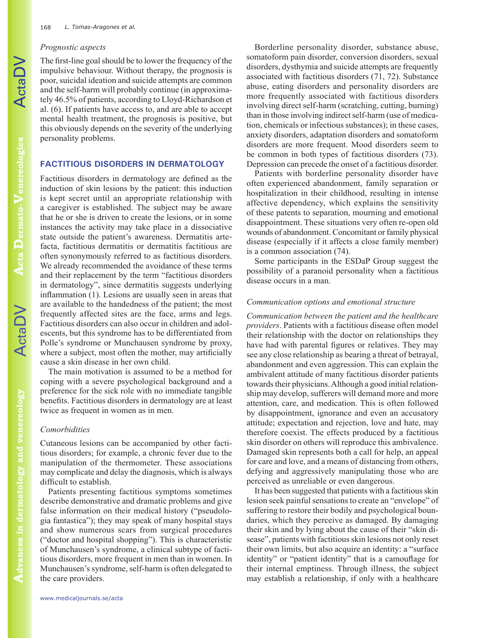### *Prognostic aspects*

The first-line goal should be to lower the frequency of the impulsive behaviour. Without therapy, the prognosis is poor, suicidal ideation and suicide attempts are common and the self-harm will probably continue (in approximately 46.5% of patients, according to Lloyd-Richardson et al. (6). If patients have access to, and are able to accept mental health treatment, the prognosis is positive, but this obviously depends on the severity of the underlying personality problems.

# **FACTITIOUS DISORDERS IN DERMATOLOGY**

Factitious disorders in dermatology are defined as the induction of skin lesions by the patient: this induction is kept secret until an appropriate relationship with a caregiver is established. The subject may be aware that he or she is driven to create the lesions, or in some instances the activity may take place in a dissociative state outside the patient's awareness. Dermatitis artefacta, factitious dermatitis or dermatitis factitious are often synonymously referred to as factitious disorders. We already recommended the avoidance of these terms and their replacement by the term "factitious disorders in dermatology", since dermatitis suggests underlying inflammation (1). Lesions are usually seen in areas that are available to the handedness of the patient; the most frequently affected sites are the face, arms and legs. Factitious disorders can also occur in children and adolescents, but this syndrome has to be differentiated from Polle's syndrome or Munchausen syndrome by proxy, where a subject, most often the mother, may artificially cause a skin disease in her own child.

The main motivation is assumed to be a method for coping with a severe psychological background and a preference for the sick role with no immediate tangible benefits. Factitious disorders in dermatology are at least twice as frequent in women as in men.

# *Comorbidities*

Cutaneous lesions can be accompanied by other factitious disorders; for example, a chronic fever due to the manipulation of the thermometer. These associations may complicate and delay the diagnosis, which is always difficult to establish.

Patients presenting factitious symptoms sometimes describe demonstrative and dramatic problems and give false information on their medical history ("pseudologia fantastica"); they may speak of many hospital stays and show numerous scars from surgical procedures ("doctor and hospital shopping"). This is characteristic of Munchausen's syndrome, a clinical subtype of factitious disorders, more frequent in men than in women. In Munchausen's syndrome, self-harm is often delegated to the care providers.

Borderline personality disorder, substance abuse, somatoform pain disorder, conversion disorders, sexual disorders, dysthymia and suicide attempts are frequently associated with factitious disorders (71, 72). Substance abuse, eating disorders and personality disorders are more frequently associated with factitious disorders involving direct self-harm (scratching, cutting, burning) than in those involving indirect self-harm (use of medication, chemicals or infectious substances); in these cases, anxiety disorders, adaptation disorders and somatoform disorders are more frequent. Mood disorders seem to be common in both types of factitious disorders (73). Depression can precede the onset of a factitious disorder.

Patients with borderline personality disorder have often experienced abandonment, family separation or hospitalization in their childhood, resulting in intense affective dependency, which explains the sensitivity of these patents to separation, mourning and emotional disappointment. These situations very often re-open old wounds of abandonment. Concomitant or family physical disease (especially if it affects a close family member) is a common association (74).

Some participants in the ESDaP Group suggest the possibility of a paranoid personality when a factitious disease occurs in a man.

# *Communication options and emotional structure*

*Communication between the patient and the healthcare providers*. Patients with a factitious disease often model their relationship with the doctor on relationships they have had with parental figures or relatives. They may see any close relationship as bearing a threat of betrayal, abandonment and even aggression. This can explain the ambivalent attitude of many factitious disorder patients towards their physicians. Although a good initial relationship may develop, sufferers will demand more and more attention, care, and medication. This is often followed by disappointment, ignorance and even an accusatory attitude; expectation and rejection, love and hate, may therefore coexist. The effects produced by a factitious skin disorder on others will reproduce this ambivalence. Damaged skin represents both a call for help, an appeal for care and love, and a means of distancing from others, defying and aggressively manipulating those who are perceived as unreliable or even dangerous.

It has been suggested that patients with a factitious skin lesion seek painful sensations to create an "envelope" of suffering to restore their bodily and psychological boundaries, which they perceive as damaged. By damaging their skin and by lying about the cause of their "skin disease", patients with factitious skin lesions not only reset their own limits, but also acquire an identity: a "surface identity" or "patient identity" that is a camouflage for their internal emptiness. Through illness, the subject may establish a relationship, if only with a healthcare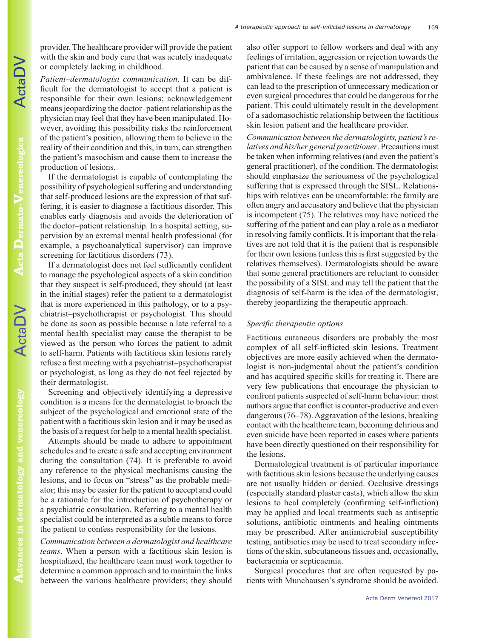ActaDV

provider. The healthcare provider will provide the patient with the skin and body care that was acutely inadequate or completely lacking in childhood.

*Patient–dermatologist communication*. It can be difficult for the dermatologist to accept that a patient is responsible for their own lesions; acknowledgement means jeopardizing the doctor–patient relationship as the physician may feel that they have been manipulated. However, avoiding this possibility risks the reinforcement of the patient's position, allowing them to believe in the reality of their condition and this, in turn, can strengthen the patient's masochism and cause them to increase the production of lesions.

If the dermatologist is capable of contemplating the possibility of psychological suffering and understanding that self-produced lesions are the expression of that suffering, it is easier to diagnose a factitious disorder. This enables early diagnosis and avoids the deterioration of the doctor–patient relationship. In a hospital setting, supervision by an external mental health professional (for example, a psychoanalytical supervisor) can improve screening for factitious disorders (73).

If a dermatologist does not feel sufficiently confident to manage the psychological aspects of a skin condition that they suspect is self-produced, they should (at least in the initial stages) refer the patient to a dermatologist that is more experienced in this pathology, or to a psychiatrist–psychotherapist or psychologist. This should be done as soon as possible because a late referral to a mental health specialist may cause the therapist to be viewed as the person who forces the patient to admit to self-harm. Patients with factitious skin lesions rarely refuse a first meeting with a psychiatrist–psychotherapist or psychologist, as long as they do not feel rejected by their dermatologist.

Screening and objectively identifying a depressive condition is a means for the dermatologist to broach the subject of the psychological and emotional state of the patient with a factitious skin lesion and it may be used as the basis of a request for help to a mental health specialist.

Attempts should be made to adhere to appointment schedules and to create a safe and accepting environment during the consultation (74). It is preferable to avoid any reference to the physical mechanisms causing the lesions, and to focus on "stress" as the probable mediator; this may be easier for the patient to accept and could be a rationale for the introduction of psychotherapy or a psychiatric consultation. Referring to a mental health specialist could be interpreted as a subtle means to force the patient to confess responsibility for the lesions.

*Communication between a dermatologist and healthcare teams*. When a person with a factitious skin lesion is hospitalized, the healthcare team must work together to determine a common approach and to maintain the links between the various healthcare providers; they should also offer support to fellow workers and deal with any feelings of irritation, aggression or rejection towards the patient that can be caused by a sense of manipulation and ambivalence. If these feelings are not addressed, they can lead to the prescription of unnecessary medication or even surgical procedures that could be dangerous for the patient. This could ultimately result in the development of a sadomasochistic relationship between the factitious skin lesion patient and the healthcare provider.

*Communication between the dermatologists, patient's relatives and his/her general practitioner*. Precautions must be taken when informing relatives (and even the patient's general practitioner), of the condition. The dermatologist should emphasize the seriousness of the psychological suffering that is expressed through the SISL. Relationships with relatives can be uncomfortable: the family are often angry and accusatory and believe that the physician is incompetent (75). The relatives may have noticed the suffering of the patient and can play a role as a mediator in resolving family conflicts. It is important that the relatives are not told that it is the patient that is responsible for their own lesions (unless this is first suggested by the relatives themselves). Dermatologists should be aware that some general practitioners are reluctant to consider the possibility of a SISL and may tell the patient that the diagnosis of self-harm is the idea of the dermatologist, thereby jeopardizing the therapeutic approach.

#### *Specific therapeutic options*

Factitious cutaneous disorders are probably the most complex of all self-inflicted skin lesions. Treatment objectives are more easily achieved when the dermatologist is non-judgmental about the patient's condition and has acquired specific skills for treating it. There are very few publications that encourage the physician to confront patients suspected of self-harm behaviour: most authors argue that conflict is counter-productive and even dangerous (76–78). Aggravation of the lesions, breaking contact with the healthcare team, becoming delirious and even suicide have been reported in cases where patients have been directly questioned on their responsibility for the lesions.

Dermatological treatment is of particular importance with factitious skin lesions because the underlying causes are not usually hidden or denied. Occlusive dressings (especially standard plaster casts), which allow the skin lesions to heal completely (confirming self-infliction) may be applied and local treatments such as antiseptic solutions, antibiotic ointments and healing ointments may be prescribed. After antimicrobial susceptibility testing, antibiotics may be used to treat secondary infections of the skin, subcutaneous tissues and, occasionally, bacteraemia or septicaemia.

Surgical procedures that are often requested by patients with Munchausen's syndrome should be avoided.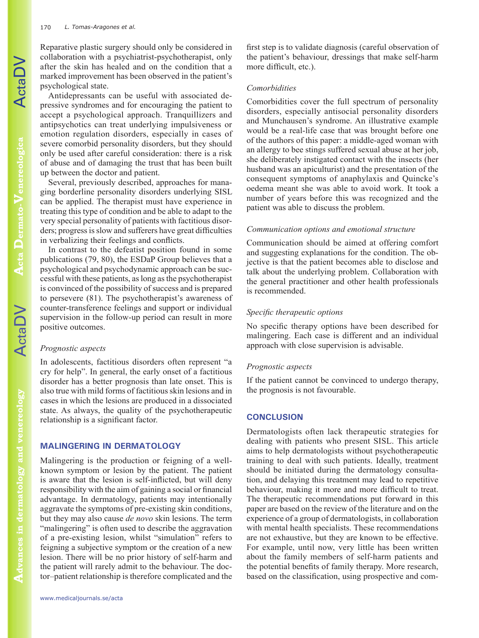Reparative plastic surgery should only be considered in collaboration with a psychiatrist-psychotherapist, only after the skin has healed and on the condition that a marked improvement has been observed in the patient's psychological state.

Antidepressants can be useful with associated depressive syndromes and for encouraging the patient to accept a psychological approach. Tranquillizers and antipsychotics can treat underlying impulsiveness or emotion regulation disorders, especially in cases of severe comorbid personality disorders, but they should only be used after careful consideration: there is a risk of abuse and of damaging the trust that has been built up between the doctor and patient.

Several, previously described, approaches for managing borderline personality disorders underlying SISL can be applied. The therapist must have experience in treating this type of condition and be able to adapt to the very special personality of patients with factitious disorders; progress is slow and sufferers have great difficulties in verbalizing their feelings and conflicts.

In contrast to the defeatist position found in some publications (79, 80), the ESDaP Group believes that a psychological and psychodynamic approach can be successful with these patients, as long as the psychotherapist is convinced of the possibility of success and is prepared to persevere (81). The psychotherapist's awareness of counter-transference feelings and support or individual supervision in the follow-up period can result in more positive outcomes.

#### *Prognostic aspects*

In adolescents, factitious disorders often represent "a cry for help". In general, the early onset of a factitious disorder has a better prognosis than late onset. This is also true with mild forms of factitious skin lesions and in cases in which the lesions are produced in a dissociated state. As always, the quality of the psychotherapeutic relationship is a significant factor.

#### **MALINGERING IN DERMATOLOGY**

Malingering is the production or feigning of a wellknown symptom or lesion by the patient. The patient is aware that the lesion is self-inflicted, but will deny responsibility with the aim of gaining a social or financial advantage. In dermatology, patients may intentionally aggravate the symptoms of pre-existing skin conditions, but they may also cause *de novo* skin lesions. The term "malingering" is often used to describe the aggravation of a pre-existing lesion, whilst "simulation" refers to feigning a subjective symptom or the creation of a new lesion. There will be no prior history of self-harm and the patient will rarely admit to the behaviour. The doctor–patient relationship is therefore complicated and the

first step is to validate diagnosis (careful observation of the patient's behaviour, dressings that make self-harm more difficult, etc.).

#### *Comorbidities*

Comorbidities cover the full spectrum of personality disorders, especially antisocial personality disorders and Munchausen's syndrome. An illustrative example would be a real-life case that was brought before one of the authors of this paper: a middle-aged woman with an allergy to bee stings suffered sexual abuse at her job, she deliberately instigated contact with the insects (her husband was an apiculturist) and the presentation of the consequent symptoms of anaphylaxis and Quincke's oedema meant she was able to avoid work. It took a number of years before this was recognized and the patient was able to discuss the problem.

#### *Communication options and emotional structure*

Communication should be aimed at offering comfort and suggesting explanations for the condition. The objective is that the patient becomes able to disclose and talk about the underlying problem. Collaboration with the general practitioner and other health professionals is recommended.

#### *Specific therapeutic options*

No specific therapy options have been described for malingering. Each case is different and an individual approach with close supervision is advisable.

#### *Prognostic aspects*

If the patient cannot be convinced to undergo therapy, the prognosis is not favourable.

## **CONCLUSION**

Dermatologists often lack therapeutic strategies for dealing with patients who present SISL. This article aims to help dermatologists without psychotherapeutic training to deal with such patients. Ideally, treatment should be initiated during the dermatology consultation, and delaying this treatment may lead to repetitive behaviour, making it more and more difficult to treat. The therapeutic recommendations put forward in this paper are based on the review of the literature and on the experience of a group of dermatologists, in collaboration with mental health specialists. These recommendations are not exhaustive, but they are known to be effective. For example, until now, very little has been written about the family members of self-harm patients and the potential benefits of family therapy. More research, based on the classification, using prospective and com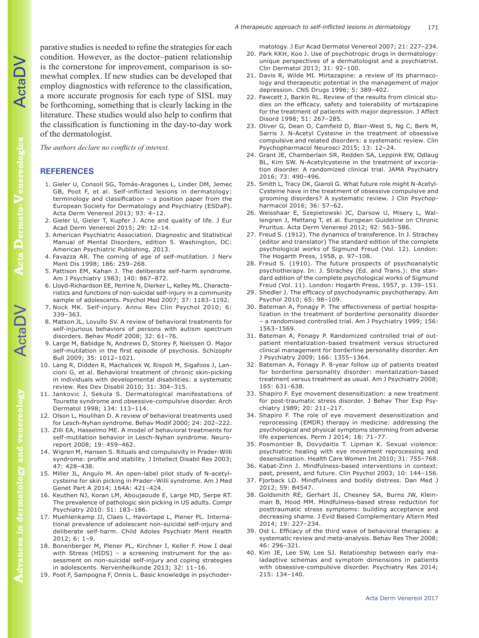parative studies is needed to refine the strategies for each condition. However, as the doctor–patient relationship is the cornerstone for improvement, comparison is somewhat complex. If new studies can be developed that employ diagnostics with reference to the classification, a more accurate prognosis for each type of SISL may be forthcoming, something that is clearly lacking in the literature. These studies would also help to confirm that the classification is functioning in the day-to-day work of the dermatologist.

*The authors declare no conflicts of interest.*

#### **REFERENCES**

- 1. Gieler U, Consoli SG, Tomás-Aragones L, Linder DM, Jemec GB, Poot F, et al. Self-inflicted lesions in dermatology: terminology and classification – a position paper from the European Society for Dermatology and Psychiatry (ESDaP). Acta Derm Venereol 2013; 93: 4–12.
- 2. Gieler U, Gieler T, Kupfer J. Acne and quality of life. J Eur Acad Derm Venereol 2015; 29: 12–14.
- 3. American Psychiatric Association. Diagnostic and Statistical Manual of Mental Disorders, edition 5. Washington, DC: American Psychiatric Publishing, 2013.
- 4. Favazza AR. The coming of age of self-mutilation. J Nerv Ment Dis 1998; 186: 259–268.
- 5. Pattison EM, Kahan J. The deliberate self-harm syndrome. Am J Psychiatry 1983; 140: 867–872.
- 6. Lloyd-Richardson EE, Perrine N, Dierker L, Kelley ML. Characteristics and functions of non-suicidal self-injury in a community sample of adolescents. Psychol Med 2007; 37: 1183–1192.
- 7. Nock MK. Self-injury. Annu Rev Clin Psychol 2010; 6: 339–363.
- 8. Matson JL, Lovullo SV. A review of behavioral treatments for self-injurious behaviors of persons with autism spectrum disorders. Behav Modif 2008; 32: 61–76.
- 9. Large M, Babidge N, Andrews D, Storey P, Nielssen O. Major self-mutilation in the first episode of psychosis. Schizophr Bull 2009; 35: 1012–1021.
- 10. Lang R, Didden R, Machalicek W, Rispoli M, Sigafoos J, Lancioni G, et al. Behavioral treatment of chronic skin-picking in individuals with developmental disabilities: a systematic review. Res Dev Disabil 2010; 31: 304–315.
- 11. Jankovic J, Sekula S. Dermatological manifestations of Tourette syndrome and obsessive-compulsive disorder. Arch Dermatol 1998; 134: 113–114.
- 12. Olson L, Houlihan D. A review of behavioral treatments used for Lesch-Nyhan syndrome. Behav Modif 2000; 24: 202–222.
- 13. Zilli EA, Hasselmo ME. A model of behavioral treatments for self-mutilation behavior in Lesch-Nyhan syndrome. Neuroreport 2008; 19: 459–462.
- 14. Wigren M, Hansen S. Rituals and compulsivity in Prader-Willi syndrome: profile and stability. J Intellect Disabil Res 2003; 47: 428–438.
- 15. Miller JL, Angulo M. An open-label pilot study of N-acetylcysteine for skin picking in Prader–Willi syndrome. Am J Med Genet Part A 2014; 164A: 421–424.
- 16. Keuthen NJ, Koran LM, Aboujaoude E, Large MD, Serpe RT. The prevalence of pathologic skin picking in US adults. Compr Psychiatry 2010: 51: 183–186.
- 17. Muehlenkamp JJ, Claes L, Havertape L, Plener PL. International prevalence of adolescent non-suicidal self-injury and deliberate self-harm. Child Adoles Psychiatr Ment Health 2012; 6: 1–9.
- 18. Bonenberger M, Plener PL, Kirchner I, Keller F. How I deal with Stress (HIDS) – a screening instrument for the assessment on non-suicidal self-injury and coping strategies in adolescents. Nervenheilkunde 2013; 32: 11–16.
- 19. Poot F, Sampogna F, Onnis L. Basic knowledge in psychoder-

matology. J Eur Acad Dermatol Venereol 2007; 21: 227–234. 20. Park KKH, Koo J. Use of psychotropic drugs in dermatology:

- unique perspectives of a dermatologist and a psychiatrist. Clin Dermatol 2013; 31: 92–100.
- 21. Davis R, Wilde MI. Mirtazapine: a review of its pharmacology and therapeutic potential in the management of major depression. CNS Drugs 1996; 5: 389–402.
- 22. Fawcett J, Barkin RL. Review of the results from clinical studies on the efficacy, safety and tolerability of mirtazapine for the treatment of patients with major depression. J Affect Disord 1998; 51: 267–285.
- 23. Oliver G, Dean O, Camfield D, Blair-West S, Ng C, Berk M, Sarris J. N-Acetyl Cysteine in the treatment of obsessive compulsive and related disorders: a systematic review. Clin Psychopharmacol Neurosci 2015; 13: 12–24.
- 24. Grant JE, Chamberlain SR, Redden SA, Leppink EW, Odlaug BL, Kim SW. N-Acetylcysteine in the treatment of excoriation disorder. A randomized clinical trial. JAMA Psychiatry 2016; 73: 490–496.
- 25. Smith L, Tracy DK, Giaroli G. What future role might N-Acetyl-Cysteine have in the treatment of obsessive compulsive and grooming disorders? A systematic review. J Clin Psychopharmacol 2016; 36: 57–62.
- 26. Weisshaar E, Szepietowski JC, Darsow U, Misery L, Wallengren J, Mettang T, et al. European Guideline on Chronic Pruritus. Acta Derm Venereol 2012; 92: 563–586.
- 27. Freud S. (1912). The dynamics of transference. In J. Strachey (editor and translator) The standard edition of the complete psychological works of Sigmund Freud (Vol. 12). London: The Hogarth Press, 1958, p. 97–108.
- 28. Freud S. (1910). The future prospects of psychoanalytic psychotherapy. In: J. Strachey (Ed. and Trans.): the standard edition of the complete psychological works of Sigmund Freud (Vol. 11). London: Hogarth Press, 1957, p. 139–151.
- 29. Shedler J. The efficacy of psychodynamic psychotherapy. Am Psychol 2010; 65: 98–109.
- 30. Bateman A, Fonagy P. The effectiveness of partial hospitalization in the treatment of borderline personality disorder – a randomised controlled trial. Am J Psychiatry 1999; 156: 1563–1569.
- 31. Bateman A, Fonagy P. Randomized controlled trial of outpatient mentalization-based treatment versus structured clinical management for borderline personality disorder. Am J Psychiatry 2009; 166: 1355–1364.
- 32. Bateman A, Fonagy P. 8-year follow up of patients treated for borderline personality disorder: mentalization-based treatment versus treatment as usual. Am J Psychiatry 2008; 165: 631–638.
- 33. Shapiro F. Eye movement desensitization: a new treatment for post-traumatic stress disorder. J Behav Ther Exp Psychiatry 1989; 20: 211–217.
- 34. Shapiro F. The role of eye movement desensitization and reprocessing (EMDR) therapy in medicine: addressing the psychological and physical symptoms stemming from adverse life experiences. Perm J 2014; 18: 71–77.
- 35. Posmontier B, Dovydaitis T. Lipman K. Sexual violence: psychiatric healing with eye movement reprocessing and desensitization. Health Care Women Int 2010; 31: 755–768.
- 36. Kabat-Zinn J. Mindfulness-based interventions in context: past, present, and future. Clin Psychol 2003; 10: 144–156.
- 37. Fjorback LO. Mindfulness and bodily distress. Dan Med J 2012; 59: B4547.
- 38. Goldsmith RE, Gerhart JI, Chesney SA, Burns JW, Kleinman B, Hood MM. Mindfulness-based stress reduction for posttraumatic stress symptoms: building acceptance and decreasing shame. J Evid Based Complementary Altern Med 2014; 19: 227–234.
- 39. Ost L. Efficacy of the third wave of behavioral therapies: a systematic review and meta-analysis. Behav Res Ther 2008; 46: 296–321.
- 40. Kim JE, Lee SW, Lee SJ. Relationship between early maladaptive schemas and symptom dimensions in patients with obsessive-compulsive disorder. Psychiatry Res 2014; 215: 134–140.